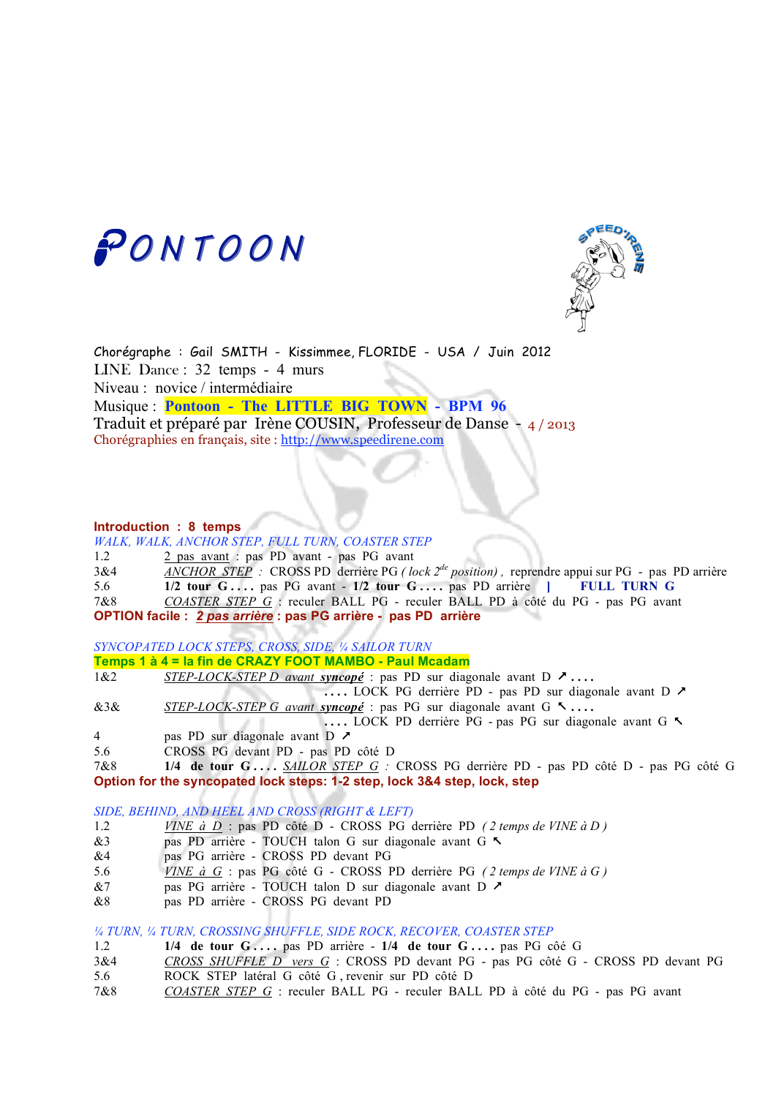



Chorégraphe : Gail SMITH - Kissimmee, FLORIDE - USA / Juin 2012 LINE Dance : 32 temps - 4 murs Niveau : novice / intermédiaire Musique : **Pontoon - The LITTLE BIG TOWN - BPM 96**  Traduit et préparé par Irène COUSIN, Professeur de Danse - 4 / 2013 Chorégraphies en français, site : http://www.speedirene.com

## **Introduction : 8 temps**

*WALK, WALK, ANCHOR STEP, FULL TURN, COASTER STEP*

1.2 2 pas avant : pas PD avant - pas PG avant

3&4 *ANCHOR STEP :* CROSS PD derrière PG *( lock 2de position) ,* reprendre appui sur PG - pas PD arrière 5.6 **1/2 tour G . . . .** pas PG avant - **1/2 tour G . . . .** pas PD arrière **] FULL TURN G**

7&8 *COASTER STEP G* : reculer BALL PG - reculer BALL PD à côté du PG - pas PG avant **OPTION facile :** *2 pas arrière* **: pas PG arrière - pas PD arrière**

*SYNCOPATED LOCK STEPS, CROSS, SIDE, ¼ SAILOR TURN*

**Temps 1 à 4 = la fin de CRAZY FOOT MAMBO - Paul Mcadam**

1&2 *STEP-LOCK-STEP D avant syncopé* : pas PD sur diagonale avant D  **. . . .** 

**. . . .** LOCK PG derrière PD - pas PD sur diagonale avant D

&3& *STEP-LOCK-STEP G avant syncopé* : pas PG sur diagonale avant G **. . . .** 

**....** LOCK PD derrière PG - pas PG sur diagonale avant G  $\sim$ 

- 4 pas PD sur diagonale avant D
- 5.6 CROSS PG devant PD pas PD côté D

7&8 **1/4 de tour G . . . .** *SAILOR STEP G :* CROSS PG derrière PD - pas PD côté D - pas PG côté G **Option for the syncopated lock steps: 1-2 step, lock 3&4 step, lock, step**

#### *SIDE, BEHIND, AND HEEL AND CROSS (RIGHT & LEFT)*

- 1.2 *VINE à D* : pas PD côté D CROSS PG derrière PD *( 2 temps de VINE à D )*
- &3 pas PD arrière TOUCH talon G sur diagonale avant G
- &4 pas PG arrière CROSS PD devant PG
- 5.6 *VINE à G* : pas PG côté G CROSS PD derrière PG *( 2 temps de VINE à G )*
- &7 pas PG arrière TOUCH talon D sur diagonale avant D ♪
- &8 pas PD arrière CROSS PG devant PD

*¼ TURN, ¼ TURN, CROSSING SHUFFLE, SIDE ROCK, RECOVER, COASTER STEP*

- 1.2 **1/4 de tour G . . . .** pas PD arrière **1/4 de tour G . . . .** pas PG côé G
- 3&4 *CROSS SHUFFLE D vers G* : CROSS PD devant PG pas PG côté G CROSS PD devant PG
- 5.6 ROCK STEP latéral G côté G , revenir sur PD côté D
- 7&8 *COASTER STEP G* : reculer BALL PG reculer BALL PD à côté du PG pas PG avant